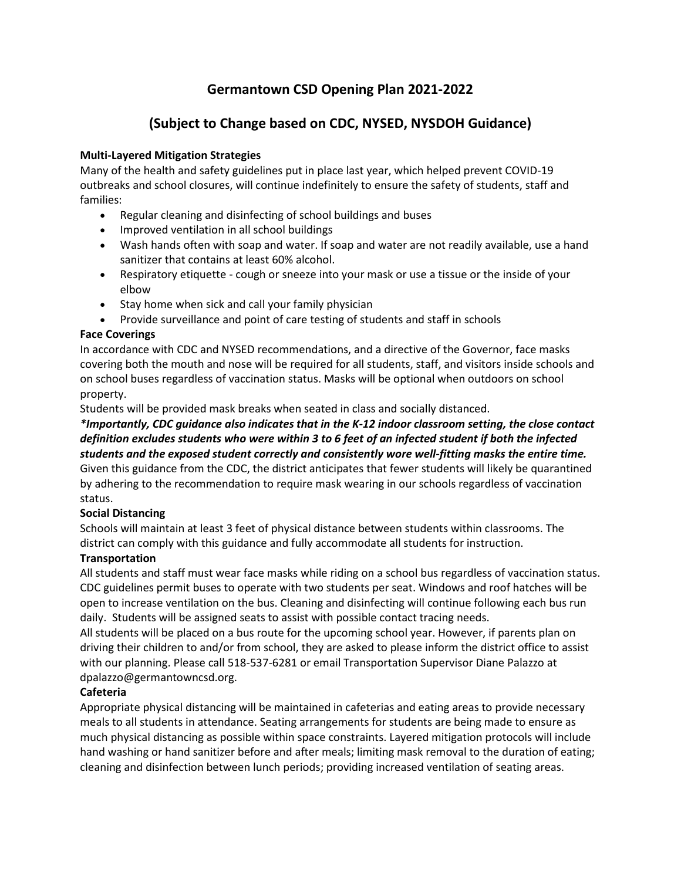# **Germantown CSD Opening Plan 2021-2022**

# **(Subject to Change based on CDC, NYSED, NYSDOH Guidance)**

## **Multi-Layered Mitigation Strategies**

Many of the health and safety guidelines put in place last year, which helped prevent COVID-19 outbreaks and school closures, will continue indefinitely to ensure the safety of students, staff and families:

- Regular cleaning and disinfecting of school buildings and buses
- Improved ventilation in all school buildings
- Wash hands often with soap and water. If soap and water are not readily available, use a hand sanitizer that contains at least 60% alcohol.
- Respiratory etiquette cough or sneeze into your mask or use a tissue or the inside of your elbow
- Stay home when sick and call your family physician
- Provide surveillance and point of care testing of students and staff in schools

## **Face Coverings**

In accordance with CDC and NYSED recommendations, and a directive of the Governor, face masks covering both the mouth and nose will be required for all students, staff, and visitors inside schools and on school buses regardless of vaccination status. Masks will be optional when outdoors on school property.

Students will be provided mask breaks when seated in class and socially distanced.

*\*Importantly, CDC guidance also indicates that in the K-12 indoor classroom setting, the close contact definition excludes students who were within 3 to 6 feet of an infected student if both the infected students and the exposed student correctly and consistently wore well-fitting masks the entire time.* Given this guidance from the CDC, the district anticipates that fewer students will likely be quarantined by adhering to the recommendation to require mask wearing in our schools regardless of vaccination status.

# **Social Distancing**

Schools will maintain at least 3 feet of physical distance between students within classrooms. The district can comply with this guidance and fully accommodate all students for instruction.

# **Transportation**

All students and staff must wear face masks while riding on a school bus regardless of vaccination status. CDC guidelines permit buses to operate with two students per seat. Windows and roof hatches will be open to increase ventilation on the bus. Cleaning and disinfecting will continue following each bus run daily. Students will be assigned seats to assist with possible contact tracing needs.

All students will be placed on a bus route for the upcoming school year. However, if parents plan on driving their children to and/or from school, they are asked to please inform the district office to assist with our planning. Please call 518-537-6281 or email Transportation Supervisor Diane Palazzo at dpalazzo@germantowncsd.org.

# **Cafeteria**

Appropriate physical distancing will be maintained in cafeterias and eating areas to provide necessary meals to all students in attendance. Seating arrangements for students are being made to ensure as much physical distancing as possible within space constraints. Layered mitigation protocols will include hand washing or hand sanitizer before and after meals; limiting mask removal to the duration of eating; cleaning and disinfection between lunch periods; providing increased ventilation of seating areas.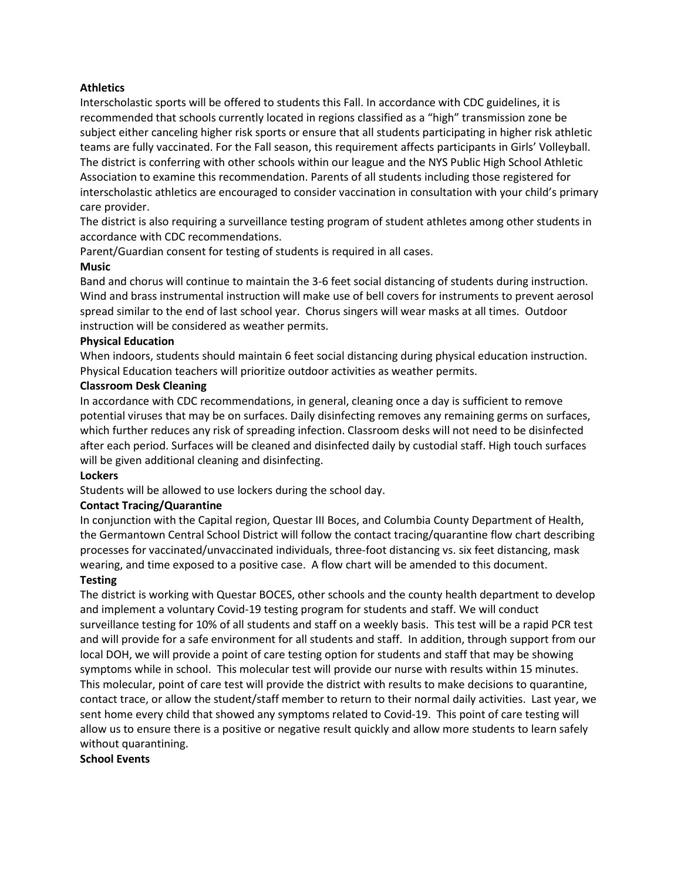## **Athletics**

Interscholastic sports will be offered to students this Fall. In accordance with CDC guidelines, it is recommended that schools currently located in regions classified as a "high" transmission zone be subject either canceling higher risk sports or ensure that all students participating in higher risk athletic teams are fully vaccinated. For the Fall season, this requirement affects participants in Girls' Volleyball. The district is conferring with other schools within our league and the NYS Public High School Athletic Association to examine this recommendation. Parents of all students including those registered for interscholastic athletics are encouraged to consider vaccination in consultation with your child's primary care provider.

The district is also requiring a surveillance testing program of student athletes among other students in accordance with CDC recommendations.

Parent/Guardian consent for testing of students is required in all cases.

#### **Music**

Band and chorus will continue to maintain the 3-6 feet social distancing of students during instruction. Wind and brass instrumental instruction will make use of bell covers for instruments to prevent aerosol spread similar to the end of last school year. Chorus singers will wear masks at all times. Outdoor instruction will be considered as weather permits.

#### **Physical Education**

When indoors, students should maintain 6 feet social distancing during physical education instruction. Physical Education teachers will prioritize outdoor activities as weather permits.

#### **Classroom Desk Cleaning**

In accordance with CDC recommendations, in general, cleaning once a day is sufficient to remove potential viruses that may be on surfaces. Daily disinfecting removes any remaining germs on surfaces, which further reduces any risk of spreading infection. Classroom desks will not need to be disinfected after each period. Surfaces will be cleaned and disinfected daily by custodial staff. High touch surfaces will be given additional cleaning and disinfecting.

## **Lockers**

Students will be allowed to use lockers during the school day.

## **Contact Tracing/Quarantine**

In conjunction with the Capital region, Questar III Boces, and Columbia County Department of Health, the Germantown Central School District will follow the contact tracing/quarantine flow chart describing processes for vaccinated/unvaccinated individuals, three-foot distancing vs. six feet distancing, mask wearing, and time exposed to a positive case. A flow chart will be amended to this document.

## **Testing**

The district is working with Questar BOCES, other schools and the county health department to develop and implement a voluntary Covid-19 testing program for students and staff. We will conduct surveillance testing for 10% of all students and staff on a weekly basis. This test will be a rapid PCR test and will provide for a safe environment for all students and staff. In addition, through support from our local DOH, we will provide a point of care testing option for students and staff that may be showing symptoms while in school. This molecular test will provide our nurse with results within 15 minutes. This molecular, point of care test will provide the district with results to make decisions to quarantine, contact trace, or allow the student/staff member to return to their normal daily activities. Last year, we sent home every child that showed any symptoms related to Covid-19. This point of care testing will allow us to ensure there is a positive or negative result quickly and allow more students to learn safely without quarantining.

#### **School Events**